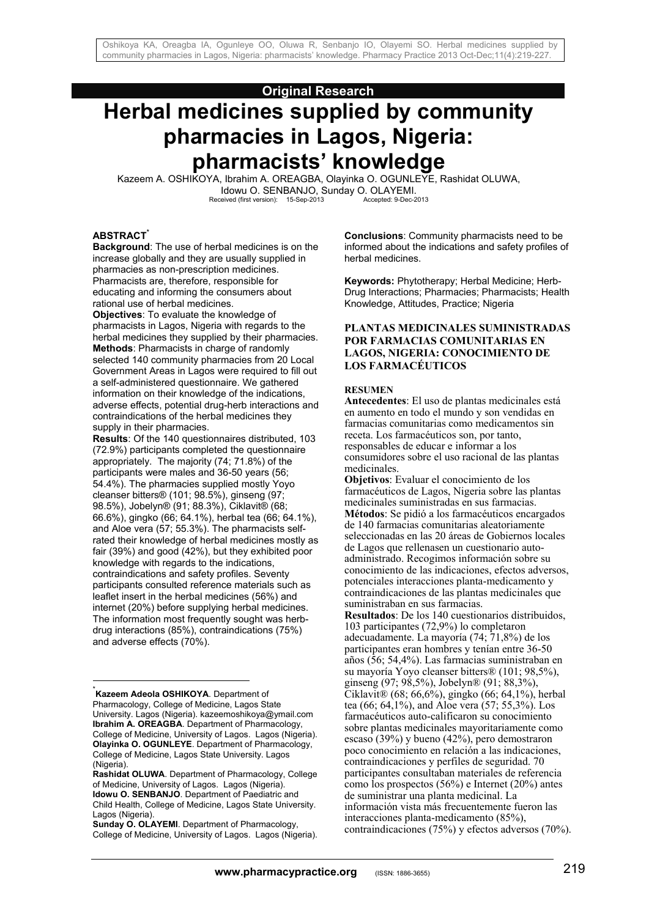# **Original Research**

# **Herbal medicines supplied by community pharmacies in Lagos, Nigeria: pharmacists' knowledge**

Kazeem A. OSHIKOYA, Ibrahim A. OREAGBA, Olayinka O. OGUNLEYE, Rashidat OLUWA, Idowu O. SENBANJO, Sunday O. OLAYEMI.<br>
eived (first version): 15-Sep-2013 Accepted: 9-Dec-2013 Received (first version): 15-Sep-2013

#### **ABSTRACT\***

1

**Background**: The use of herbal medicines is on the increase globally and they are usually supplied in pharmacies as non-prescription medicines. Pharmacists are, therefore, responsible for educating and informing the consumers about rational use of herbal medicines. **Objectives**: To evaluate the knowledge of pharmacists in Lagos, Nigeria with regards to the herbal medicines they supplied by their pharmacies. **Methods**: Pharmacists in charge of randomly selected 140 community pharmacies from 20 Local Government Areas in Lagos were required to fill out a self-administered questionnaire. We gathered information on their knowledge of the indications, adverse effects, potential drug-herb interactions and contraindications of the herbal medicines they supply in their pharmacies.

**Results**: Of the 140 questionnaires distributed, 103 (72.9%) participants completed the questionnaire appropriately. The majority (74; 71.8%) of the participants were males and 36-50 years (56; 54.4%). The pharmacies supplied mostly Yoyo cleanser bitters® (101; 98.5%), ginseng (97; 98.5%), Jobelyn® (91; 88.3%), Ciklavit® (68; 66.6%), gingko (66; 64.1%), herbal tea (66; 64.1%), and Aloe vera (57; 55.3%). The pharmacists selfrated their knowledge of herbal medicines mostly as fair (39%) and good (42%), but they exhibited poor knowledge with regards to the indications, contraindications and safety profiles. Seventy participants consulted reference materials such as leaflet insert in the herbal medicines (56%) and internet (20%) before supplying herbal medicines. The information most frequently sought was herbdrug interactions (85%), contraindications (75%) and adverse effects (70%).

\* **Kazeem Adeola OSHIKOYA**. Department of Pharmacology, College of Medicine, Lagos State University. Lagos (Nigeria). kazeemoshikoya@ymail.com **Ibrahim A. OREAGBA**. Department of Pharmacology, College of Medicine, University of Lagos. Lagos (Nigeria). **Olayinka O. OGUNLEYE**. Department of Pharmacology, College of Medicine, Lagos State University. Lagos (Nigeria).

**Conclusions**: Community pharmacists need to be informed about the indications and safety profiles of herbal medicines.

**Keywords:** Phytotherapy; Herbal Medicine; Herb-Drug Interactions; Pharmacies; Pharmacists; Health Knowledge, Attitudes, Practice; Nigeria

#### **PLANTAS MEDICINALES SUMINISTRADAS POR FARMACIAS COMUNITARIAS EN LAGOS, NIGERIA: CONOCIMIENTO DE LOS FARMACÉUTICOS**

#### **RESUMEN**

**Antecedentes**: El uso de plantas medicinales está en aumento en todo el mundo y son vendidas en farmacias comunitarias como medicamentos sin receta. Los farmacéuticos son, por tanto, responsables de educar e informar a los consumidores sobre el uso racional de las plantas medicinales.

**Objetivos**: Evaluar el conocimiento de los farmacéuticos de Lagos, Nigeria sobre las plantas medicinales suministradas en sus farmacias. **Métodos**: Se pidió a los farmacéuticos encargados de 140 farmacias comunitarias aleatoriamente seleccionadas en las 20 áreas de Gobiernos locales de Lagos que rellenasen un cuestionario autoadministrado. Recogimos información sobre su conocimiento de las indicaciones, efectos adversos, potenciales interacciones planta-medicamento y contraindicaciones de las plantas medicinales que suministraban en sus farmacias.

**Resultados**: De los 140 cuestionarios distribuidos, 103 participantes (72,9%) lo completaron adecuadamente. La mayoría (74; 71,8%) de los participantes eran hombres y tenían entre 36-50 años (56; 54,4%). Las farmacias suministraban en su mayoría Yoyo cleanser bitters® (101; 98,5%), ginseng (97; 98,5%), Jobelyn® (91; 88,3%), Ciklavit® (68; 66,6%), gingko (66; 64,1%), herbal tea (66; 64,1%), and Aloe vera (57; 55,3%). Los farmacéuticos auto-calificaron su conocimiento sobre plantas medicinales mayoritariamente como escaso (39%) y bueno (42%), pero demostraron poco conocimiento en relación a las indicaciones, contraindicaciones y perfiles de seguridad. 70 participantes consultaban materiales de referencia como los prospectos (56%) e Internet (20%) antes de suministrar una planta medicinal. La información vista más frecuentemente fueron las interacciones planta-medicamento (85%), contraindicaciones (75%) y efectos adversos (70%).

**Rashidat OLUWA**. Department of Pharmacology, College of Medicine, University of Lagos. Lagos (Nigeria). **Idowu O. SENBANJO**. Department of Paediatric and Child Health, College of Medicine, Lagos State University. Lagos (Nigeria).

**Sunday O. OLAYEMI**. Department of Pharmacology, College of Medicine, University of Lagos. Lagos (Nigeria).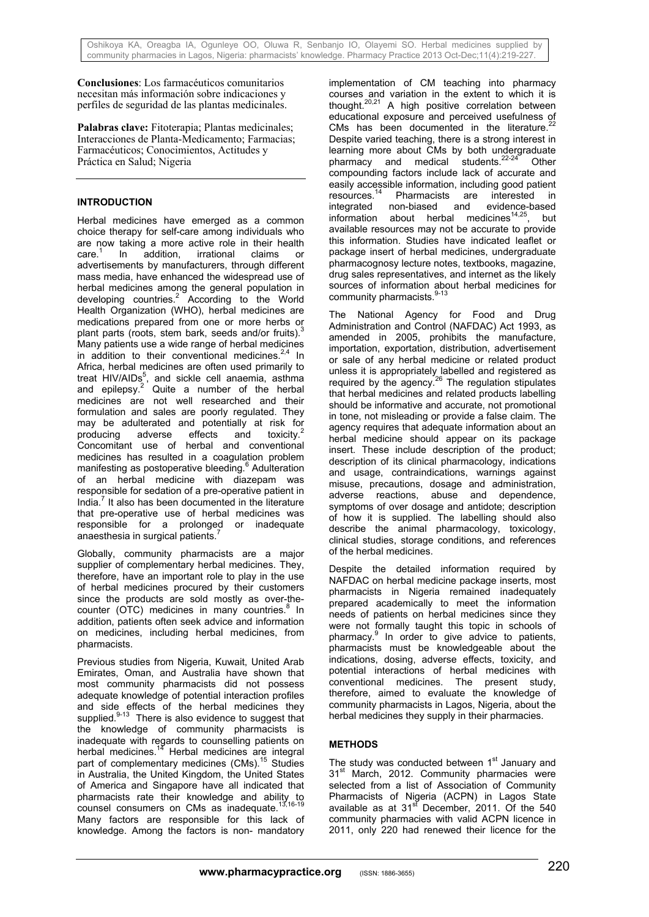**Conclusiones**: Los farmacéuticos comunitarios necesitan más información sobre indicaciones y perfiles de seguridad de las plantas medicinales.

**Palabras clave:** Fitoterapia; Plantas medicinales; Interacciones de Planta-Medicamento; Farmacias; Farmacéuticos; Conocimientos, Actitudes y Práctica en Salud; Nigeria

# **INTRODUCTION**

Herbal medicines have emerged as a common choice therapy for self-care among individuals who are now taking a more active role in their health care.<sup>1</sup> In addition, irrational claims or advertisements by manufacturers, through different mass media, have enhanced the widespread use of herbal medicines among the general population in developing countries.<sup>2</sup> According to the World Health Organization (WHO), herbal medicines are medications prepared from one or more herbs or plant parts (roots, stem bark, seeds and/or fruits).<sup>3</sup> Many patients use a wide range of herbal medicines in addition to their conventional medicines. $2.4$  In Africa, herbal medicines are often used primarily to treat HIV/AIDs<sup>5</sup>, and sickle cell anaemia, asthma and epilepsy. $2$  Quite a number of the herbal medicines are not well researched and their formulation and sales are poorly regulated. They may be adulterated and potentially at risk for<br>producing adverse effects and toxicity.<sup>2</sup> producing adverse effects and toxicity. Concomitant use of herbal and conventional medicines has resulted in a coagulation problem manifesting as postoperative bleeding.<sup>6</sup> Adulteration of an herbal medicine with diazepam was responsible for sedation of a pre-operative patient in India.<sup>7</sup> It also has been documented in the literature that pre-operative use of herbal medicines was responsible for a prolonged or inadequate anaesthesia in surgical patients.

Globally, community pharmacists are a major supplier of complementary herbal medicines. They, therefore, have an important role to play in the use of herbal medicines procured by their customers since the products are sold mostly as over-thecounter (OTC) medicines in many countries.<sup>8</sup> In addition, patients often seek advice and information on medicines, including herbal medicines, from pharmacists.

Previous studies from Nigeria, Kuwait, United Arab Emirates, Oman, and Australia have shown that most community pharmacists did not possess adequate knowledge of potential interaction profiles and side effects of the herbal medicines they supplied. $9-13$  There is also evidence to suggest that the knowledge of community pharmacists is inadequate with regards to counselling patients on herbal medicines.<sup>14</sup> Herbal medicines are integral part of complementary medicines (CMs).<sup>15</sup> Studies in Australia, the United Kingdom, the United States of America and Singapore have all indicated that pharmacists rate their knowledge and ability to counsel consumers on CMs as inadequate.<sup>13,16-19</sup> Many factors are responsible for this lack of knowledge. Among the factors is non- mandatory

implementation of CM teaching into pharmacy courses and variation in the extent to which it is thought. $20,21$  A high positive correlation between educational exposure and perceived usefulness of CMs has been documented in the literature. $^{22}$ Despite varied teaching, there is a strong interest in learning more about CMs by both undergraduate pharmacy and medical students.<sup>22-24</sup> Other compounding factors include lack of accurate and easily accessible information, including good patient resources.<sup>14</sup> Pharmacists are interested in Pharmacists are interested in integrated non-biased and evidence-based information about herbal medicines<sup>14,25</sup>, but available resources may not be accurate to provide this information. Studies have indicated leaflet or package insert of herbal medicines, undergraduate pharmacognosy lecture notes, textbooks, magazine, drug sales representatives, and internet as the likely sources of information about herbal medicines for community pharmacists. $9-13$ 

The National Agency for Food and Drug Administration and Control (NAFDAC) Act 1993, as amended in 2005, prohibits the manufacture, importation, exportation, distribution, advertisement or sale of any herbal medicine or related product unless it is appropriately labelled and registered as required by the agency.<sup>26</sup> The regulation stipulates that herbal medicines and related products labelling should be informative and accurate, not promotional in tone, not misleading or provide a false claim. The agency requires that adequate information about an herbal medicine should appear on its package insert. These include description of the product; description of its clinical pharmacology, indications and usage, contraindications, warnings against misuse, precautions, dosage and administration, adverse reactions, abuse and dependence, symptoms of over dosage and antidote; description of how it is supplied. The labelling should also describe the animal pharmacology, toxicology, clinical studies, storage conditions, and references of the herbal medicines.

Despite the detailed information required by NAFDAC on herbal medicine package inserts, most pharmacists in Nigeria remained inadequately prepared academically to meet the information needs of patients on herbal medicines since they were not formally taught this topic in schools of pharmacy.<sup>9</sup> In order to give advice to patients, pharmacists must be knowledgeable about the indications, dosing, adverse effects, toxicity, and potential interactions of herbal medicines with conventional medicines. The present study, therefore, aimed to evaluate the knowledge of community pharmacists in Lagos, Nigeria, about the herbal medicines they supply in their pharmacies.

# **METHODS**

The study was conducted between 1<sup>st</sup> January and 31<sup>st</sup> March, 2012. Community pharmacies were selected from a list of Association of Community Pharmacists of Nigeria (ACPN) in Lagos State available as at  $31<sup>st</sup>$  December, 2011. Of the 540 community pharmacies with valid ACPN licence in 2011, only 220 had renewed their licence for the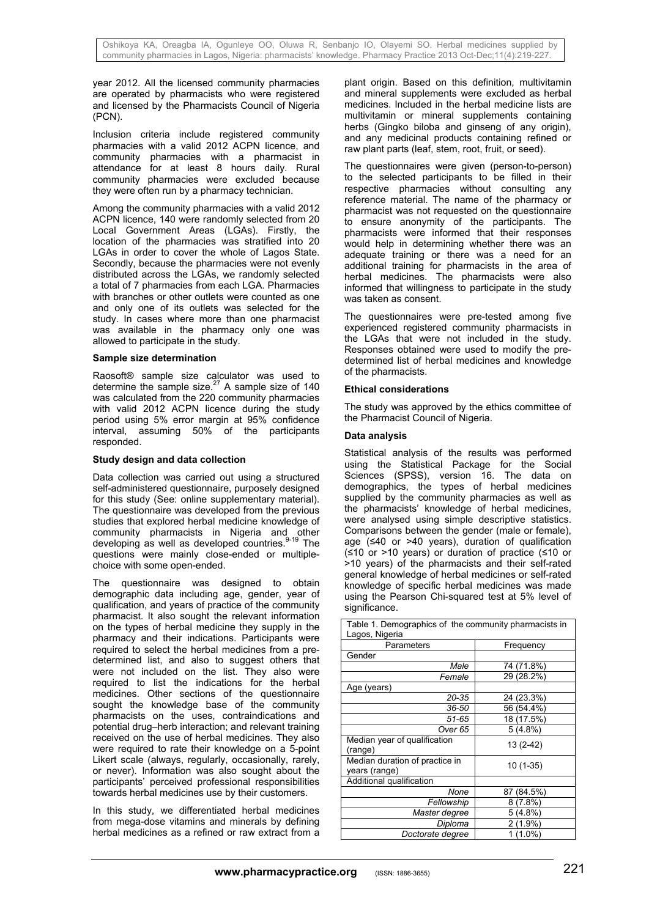year 2012. All the licensed community pharmacies are operated by pharmacists who were registered and licensed by the Pharmacists Council of Nigeria (PCN).

Inclusion criteria include registered community pharmacies with a valid 2012 ACPN licence, and community pharmacies with a pharmacist in attendance for at least 8 hours daily. Rural community pharmacies were excluded because they were often run by a pharmacy technician.

Among the community pharmacies with a valid 2012 ACPN licence, 140 were randomly selected from 20 Local Government Areas (LGAs). Firstly, the location of the pharmacies was stratified into 20 LGAs in order to cover the whole of Lagos State. Secondly, because the pharmacies were not evenly distributed across the LGAs, we randomly selected a total of 7 pharmacies from each LGA. Pharmacies with branches or other outlets were counted as one and only one of its outlets was selected for the study. In cases where more than one pharmacist was available in the pharmacy only one was allowed to participate in the study.

#### **Sample size determination**

Raosoft® sample size calculator was used to determine the sample size. $27$  A sample size of 140 was calculated from the 220 community pharmacies with valid 2012 ACPN licence during the study period using 5% error margin at 95% confidence interval, assuming 50% of the participants responded.

#### **Study design and data collection**

Data collection was carried out using a structured self-administered questionnaire, purposely designed for this study (See: online supplementary material). The questionnaire was developed from the previous studies that explored herbal medicine knowledge of community pharmacists in Nigeria and other developing as well as developed countries.<sup>9-19</sup> The questions were mainly close-ended or multiplechoice with some open-ended.

The questionnaire was designed to obtain demographic data including age, gender, year of qualification, and years of practice of the community pharmacist. It also sought the relevant information on the types of herbal medicine they supply in the pharmacy and their indications. Participants were required to select the herbal medicines from a predetermined list, and also to suggest others that were not included on the list. They also were required to list the indications for the herbal medicines. Other sections of the questionnaire sought the knowledge base of the community pharmacists on the uses, contraindications and potential drug–herb interaction; and relevant training received on the use of herbal medicines. They also were required to rate their knowledge on a 5-point Likert scale (always, regularly, occasionally, rarely, or never). Information was also sought about the participants' perceived professional responsibilities towards herbal medicines use by their customers.

In this study, we differentiated herbal medicines from mega-dose vitamins and minerals by defining herbal medicines as a refined or raw extract from a

plant origin. Based on this definition, multivitamin and mineral supplements were excluded as herbal medicines. Included in the herbal medicine lists are multivitamin or mineral supplements containing herbs (Gingko biloba and ginseng of any origin), and any medicinal products containing refined or raw plant parts (leaf, stem, root, fruit, or seed).

The questionnaires were given (person-to-person) to the selected participants to be filled in their respective pharmacies without consulting any reference material. The name of the pharmacy or pharmacist was not requested on the questionnaire to ensure anonymity of the participants. The pharmacists were informed that their responses would help in determining whether there was an adequate training or there was a need for an additional training for pharmacists in the area of herbal medicines. The pharmacists were also informed that willingness to participate in the study was taken as consent.

The questionnaires were pre-tested among five experienced registered community pharmacists in the LGAs that were not included in the study. Responses obtained were used to modify the predetermined list of herbal medicines and knowledge of the pharmacists.

#### **Ethical considerations**

The study was approved by the ethics committee of the Pharmacist Council of Nigeria.

#### **Data analysis**

Statistical analysis of the results was performed using the Statistical Package for the Social Sciences (SPSS), version 16. The data on demographics, the types of herbal medicines supplied by the community pharmacies as well as the pharmacists' knowledge of herbal medicines, were analysed using simple descriptive statistics. Comparisons between the gender (male or female), age (≤40 or >40 years), duration of qualification (≤10 or >10 years) or duration of practice (≤10 or >10 years) of the pharmacists and their self-rated general knowledge of herbal medicines or self-rated knowledge of specific herbal medicines was made using the Pearson Chi-squared test at 5% level of significance.

| rable r. Demographics or the community pharmacists in<br>Lagos, Nigeria |            |  |  |
|-------------------------------------------------------------------------|------------|--|--|
| Parameters                                                              | Frequency  |  |  |
| Gender                                                                  |            |  |  |
| Male                                                                    | 74 (71.8%) |  |  |
| Female                                                                  | 29 (28.2%) |  |  |
| Age (years)                                                             |            |  |  |
| 20-35                                                                   | 24 (23.3%) |  |  |
| 36-50                                                                   | 56 (54.4%) |  |  |
| $51 - 65$                                                               | 18 (17.5%) |  |  |
| Over 65                                                                 | 5(4.8%)    |  |  |
| Median year of qualification<br>(range)                                 | $13(2-42)$ |  |  |
| Median duration of practice in<br>years (range)                         | $10(1-35)$ |  |  |
| Additional qualification                                                |            |  |  |
| None                                                                    | 87 (84.5%) |  |  |
| Fellowship                                                              | $8(7.8\%)$ |  |  |
| Master degree                                                           | 5(4.8%)    |  |  |
| Diploma                                                                 | 2 (1.9%)   |  |  |
| Doctorate degree                                                        | $1(1.0\%)$ |  |  |

Table 1. Demographics of the community pharmacists in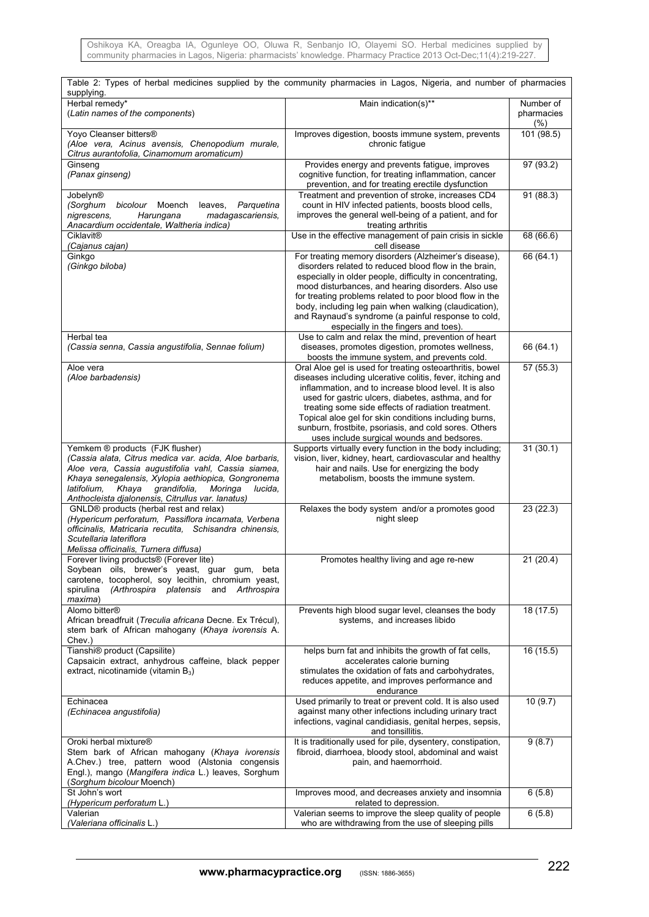Oshikoya KA, Oreagba IA, Ogunleye OO, Oluwa R, Senbanjo IO, Olayemi SO. Herbal medicines supplied by community pharmacies in Lagos, Nigeria: pharmacists' knowledge. Pharmacy Practice 2013 Oct-Dec;11(4):219-227.

| Table 2: Types of herbal medicines supplied by the community pharmacies in Lagos, Nigeria, and number of pharmacies<br>supplying.                                                                                                                                                                                          |                                                                                                                                                                                                                                                                                                                                                                                                                                                            |                                |  |  |  |
|----------------------------------------------------------------------------------------------------------------------------------------------------------------------------------------------------------------------------------------------------------------------------------------------------------------------------|------------------------------------------------------------------------------------------------------------------------------------------------------------------------------------------------------------------------------------------------------------------------------------------------------------------------------------------------------------------------------------------------------------------------------------------------------------|--------------------------------|--|--|--|
| Herbal remedy*<br>(Latin names of the components)                                                                                                                                                                                                                                                                          | Main indication(s)**                                                                                                                                                                                                                                                                                                                                                                                                                                       | Number of<br>pharmacies<br>(%) |  |  |  |
| Yoyo Cleanser bitters®<br>(Aloe vera, Acinus avensis, Chenopodium murale,<br>Citrus aurantofolia, Cinamomum aromaticum)                                                                                                                                                                                                    | Improves digestion, boosts immune system, prevents<br>chronic fatigue                                                                                                                                                                                                                                                                                                                                                                                      | 101 (98.5)                     |  |  |  |
| Ginseng<br>(Panax ginseng)                                                                                                                                                                                                                                                                                                 | Provides energy and prevents fatigue, improves<br>cognitive function, for treating inflammation, cancer<br>prevention, and for treating erectile dysfunction                                                                                                                                                                                                                                                                                               | 97(93.2)                       |  |  |  |
| Jobelyn®<br>(Sorghum<br>Parquetina<br>bicolour Moench<br>leaves,<br>nigrescens,<br>Harungana<br>madagascariensis,<br>Anacardium occidentale, Waltheria indica)                                                                                                                                                             | Treatment and prevention of stroke, increases CD4<br>count in HIV infected patients, boosts blood cells,<br>improves the general well-being of a patient, and for<br>treating arthritis                                                                                                                                                                                                                                                                    | 91 (88.3)                      |  |  |  |
| <b>Ciklavit®</b><br>(Cajanus cajan)                                                                                                                                                                                                                                                                                        | Use in the effective management of pain crisis in sickle<br>cell disease                                                                                                                                                                                                                                                                                                                                                                                   | 68 (66.6)                      |  |  |  |
| Ginkgo<br>(Ginkgo biloba)                                                                                                                                                                                                                                                                                                  | For treating memory disorders (Alzheimer's disease),<br>disorders related to reduced blood flow in the brain,<br>especially in older people, difficulty in concentrating,<br>mood disturbances, and hearing disorders. Also use<br>for treating problems related to poor blood flow in the<br>body, including leg pain when walking (claudication),<br>and Raynaud's syndrome (a painful response to cold,<br>especially in the fingers and toes).         | 66 (64.1)                      |  |  |  |
| Herbal tea<br>(Cassia senna, Cassia angustifolia, Sennae folium)                                                                                                                                                                                                                                                           | Use to calm and relax the mind, prevention of heart<br>diseases, promotes digestion, promotes wellness,<br>boosts the immune system, and prevents cold.                                                                                                                                                                                                                                                                                                    | 66 (64.1)                      |  |  |  |
| Aloe vera<br>(Aloe barbadensis)                                                                                                                                                                                                                                                                                            | Oral Aloe gel is used for treating osteoarthritis, bowel<br>diseases including ulcerative colitis, fever, itching and<br>inflammation, and to increase blood level. It is also<br>used for gastric ulcers, diabetes, asthma, and for<br>treating some side effects of radiation treatment.<br>Topical aloe gel for skin conditions including burns,<br>sunburn, frostbite, psoriasis, and cold sores. Others<br>uses include surgical wounds and bedsores. | 57 (55.3)                      |  |  |  |
| Yemkem ® products (FJK flusher)<br>(Cassia alata, Citrus medica var. acida, Aloe barbaris,<br>Aloe vera, Cassia augustifolia vahl, Cassia siamea,<br>Khaya senegalensis, Xylopia aethiopica, Gongronema<br>grandifolia,<br>latifolium.<br>Khaya<br>Moringa<br>lucida.<br>Anthocleista djalonensis, Citrullus var. lanatus) | Supports virtually every function in the body including;<br>vision, liver, kidney, heart, cardiovascular and healthy<br>hair and nails. Use for energizing the body<br>metabolism, boosts the immune system.                                                                                                                                                                                                                                               | 31(30.1)                       |  |  |  |
| GNLD® products (herbal rest and relax)<br>(Hypericum perforatum, Passiflora incarnata, Verbena<br>officinalis, Matricaria recutita, Schisandra chinensis,<br>Scutellaria lateriflora<br>Melissa officinalis, Turnera diffusa)                                                                                              | Relaxes the body system and/or a promotes good<br>night sleep                                                                                                                                                                                                                                                                                                                                                                                              | 23(22.3)                       |  |  |  |
| Forever living products® (Forever lite)<br>Soybean oils, brewer's yeast, guar gum, beta<br>carotene, tocopherol, soy lecithin, chromium yeast,<br>spirulina<br>(Arthrospira platensis and<br>Arthrospira<br>maxima)                                                                                                        | Promotes healthy living and age re-new                                                                                                                                                                                                                                                                                                                                                                                                                     | 21(20.4)                       |  |  |  |
| Alomo bitter <sup>®</sup><br>African breadfruit (Treculia africana Decne. Ex Trécul),<br>stem bark of African mahogany (Khaya ivorensis A.<br>Chev.)                                                                                                                                                                       | Prevents high blood sugar level, cleanses the body<br>systems, and increases libido                                                                                                                                                                                                                                                                                                                                                                        | 18(17.5)                       |  |  |  |
| Tianshi® product (Capsilite)<br>Capsaicin extract, anhydrous caffeine, black pepper<br>extract, nicotinamide (vitamin $B_3$ )                                                                                                                                                                                              | helps burn fat and inhibits the growth of fat cells,<br>accelerates calorie burning<br>stimulates the oxidation of fats and carbohydrates,<br>reduces appetite, and improves performance and<br>endurance                                                                                                                                                                                                                                                  | 16 (15.5)                      |  |  |  |
| Echinacea<br>(Echinacea angustifolia)                                                                                                                                                                                                                                                                                      | Used primarily to treat or prevent cold. It is also used<br>against many other infections including urinary tract<br>infections, vaginal candidiasis, genital herpes, sepsis,<br>and tonsillitis.                                                                                                                                                                                                                                                          | 10(9.7)                        |  |  |  |
| Oroki herbal mixture <sup>®</sup><br>Stem bark of African mahogany (Khaya ivorensis<br>A.Chev.) tree, pattern wood (Alstonia congensis<br>Engl.), mango (Mangifera indica L.) leaves, Sorghum<br>(Sorghum bicolour Moench)                                                                                                 | It is traditionally used for pile, dysentery, constipation,<br>fibroid, diarrhoea, bloody stool, abdominal and waist<br>pain, and haemorrhoid.                                                                                                                                                                                                                                                                                                             | 9(8.7)                         |  |  |  |
| St John's wort<br>(Hypericum perforatum L.)                                                                                                                                                                                                                                                                                | Improves mood, and decreases anxiety and insomnia<br>related to depression.                                                                                                                                                                                                                                                                                                                                                                                | 6(5.8)                         |  |  |  |
| Valerian<br>(Valeriana officinalis L.)                                                                                                                                                                                                                                                                                     | Valerian seems to improve the sleep quality of people<br>who are withdrawing from the use of sleeping pills                                                                                                                                                                                                                                                                                                                                                | 6(5.8)                         |  |  |  |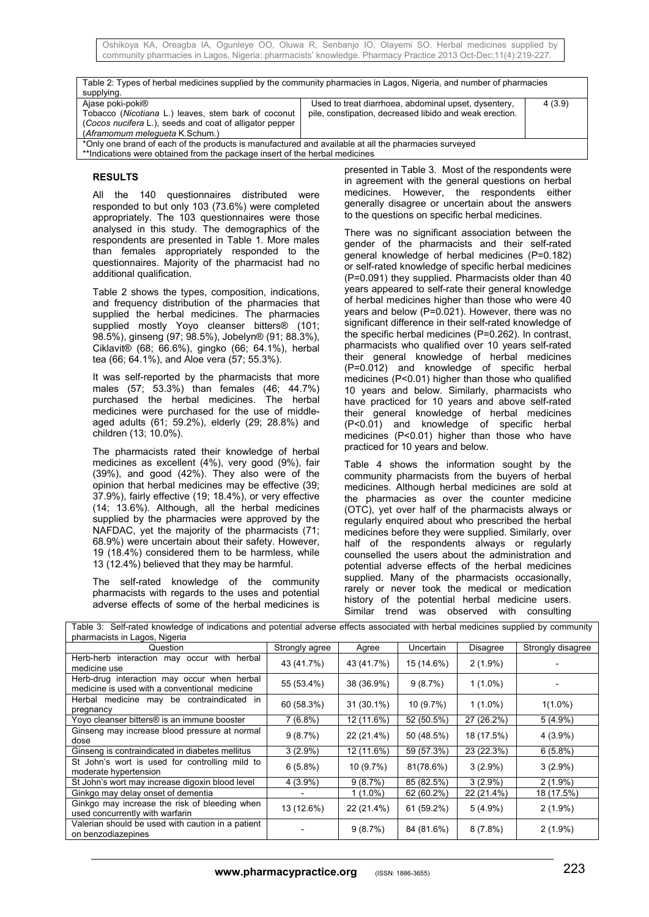| Table 2: Types of herbal medicines supplied by the community pharmacies in Lagos, Nigeria, and number of pharmacies<br>supplying.                                                   |                                                                                                                 |        |  |  |  |
|-------------------------------------------------------------------------------------------------------------------------------------------------------------------------------------|-----------------------------------------------------------------------------------------------------------------|--------|--|--|--|
| Ajase poki-poki <sup>®</sup><br>Tobacco (Nicotiana L.) leaves, stem bark of coconut<br>(Cocos nucifera L.), seeds and coat of alligator pepper<br>(Aframomum melegueta K.Schum.)    | Used to treat diarrhoea, abdominal upset, dysentery,<br>pile, constipation, decreased libido and weak erection. | 4(3.9) |  |  |  |
| *Only one brand of each of the products is manufactured and available at all the pharmacies surveyed<br>**Indications were obtained from the package insert of the herbal medicines |                                                                                                                 |        |  |  |  |

#### **RESULTS**

All the 140 questionnaires distributed were responded to but only 103 (73.6%) were completed appropriately. The 103 questionnaires were those analysed in this study. The demographics of the respondents are presented in Table 1. More males than females appropriately responded to the questionnaires. Majority of the pharmacist had no additional qualification.

Table 2 shows the types, composition, indications, and frequency distribution of the pharmacies that supplied the herbal medicines. The pharmacies supplied mostly Yoyo cleanser bitters® (101; 98.5%), ginseng (97; 98.5%), Jobelyn® (91; 88.3%), Ciklavit® (68; 66.6%), gingko (66; 64.1%), herbal tea (66; 64.1%), and Aloe vera (57; 55.3%).

It was self-reported by the pharmacists that more males (57; 53.3%) than females (46; 44.7%) purchased the herbal medicines. The herbal medicines were purchased for the use of middleaged adults (61; 59.2%), elderly (29; 28.8%) and children (13; 10.0%).

The pharmacists rated their knowledge of herbal medicines as excellent (4%), very good (9%), fair (39%), and good (42%). They also were of the opinion that herbal medicines may be effective (39; 37.9%), fairly effective (19; 18.4%), or very effective (14; 13.6%). Although, all the herbal medicines supplied by the pharmacies were approved by the NAFDAC, yet the majority of the pharmacists (71; 68.9%) were uncertain about their safety. However, 19 (18.4%) considered them to be harmless, while 13 (12.4%) believed that they may be harmful.

The self-rated knowledge of the community pharmacists with regards to the uses and potential adverse effects of some of the herbal medicines is presented in Table 3. Most of the respondents were in agreement with the general questions on herbal medicines. However, the respondents either generally disagree or uncertain about the answers to the questions on specific herbal medicines.

There was no significant association between the gender of the pharmacists and their self-rated general knowledge of herbal medicines (P=0.182) or self-rated knowledge of specific herbal medicines (P=0.091) they supplied. Pharmacists older than 40 years appeared to self-rate their general knowledge of herbal medicines higher than those who were 40 years and below (P=0.021). However, there was no significant difference in their self-rated knowledge of the specific herbal medicines (P=0.262). In contrast, pharmacists who qualified over 10 years self-rated their general knowledge of herbal medicines (P=0.012) and knowledge of specific herbal medicines (P<0.01) higher than those who qualified 10 years and below. Similarly, pharmacists who have practiced for 10 years and above self-rated their general knowledge of herbal medicines (P<0.01) and knowledge of specific herbal medicines (P<0.01) higher than those who have practiced for 10 years and below.

Table 4 shows the information sought by the community pharmacists from the buyers of herbal medicines. Although herbal medicines are sold at the pharmacies as over the counter medicine (OTC), yet over half of the pharmacists always or regularly enquired about who prescribed the herbal medicines before they were supplied. Similarly, over half of the respondents always or regularly counselled the users about the administration and potential adverse effects of the herbal medicines supplied. Many of the pharmacists occasionally, rarely or never took the medical or medication history of the potential herbal medicine users. Similar trend was observed with consulting

| pharmacists in Lagos, Nigeria                                                                |                |              |            |                 |                   |
|----------------------------------------------------------------------------------------------|----------------|--------------|------------|-----------------|-------------------|
| Question                                                                                     | Strongly agree | Agree        | Uncertain  | <b>Disagree</b> | Strongly disagree |
| Herb-herb interaction may occur with herbal<br>medicine use                                  | 43 (41.7%)     | 43 (41.7%)   | 15 (14.6%) | $2(1.9\%)$      |                   |
| Herb-drug interaction may occur when herbal<br>medicine is used with a conventional medicine | 55 (53.4%)     | 38 (36.9%)   | 9(8.7%)    | $1(1.0\%)$      |                   |
| Herbal medicine may be contraindicated in<br>pregnancy                                       | 60 (58.3%)     | $31(30.1\%)$ | 10(9.7%)   | $1(1.0\%)$      | $1(1.0\%)$        |
| Yoyo cleanser bitters® is an immune booster                                                  | 7(6.8%)        | 12 (11.6%)   | 52 (50.5%) | 27 (26.2%)      | $5(4.9\%)$        |
| Ginseng may increase blood pressure at normal<br>dose                                        | 9(8.7%)        | 22 (21.4%)   | 50 (48.5%) | 18 (17.5%)      | $4(3.9\%)$        |
| Ginseng is contraindicated in diabetes mellitus                                              | $3(2.9\%)$     | 12 (11.6%)   | 59 (57.3%) | 23 (22.3%)      | 6(5.8%)           |
| St John's wort is used for controlling mild to<br>moderate hypertension                      | 6(5.8%)        | 10 (9.7%)    | 81(78.6%)  | $3(2.9\%)$      | $3(2.9\%)$        |
| St John's wort may increase digoxin blood level                                              | $4(3.9\%)$     | 9(8.7%)      | 85 (82.5%) | $3(2.9\%)$      | $2(1.9\%)$        |
| Ginkgo may delay onset of dementia                                                           |                | 1 (1.0%)     | 62 (60.2%) | 22 (21.4%)      | 18 (17.5%)        |
| Ginkgo may increase the risk of bleeding when<br>used concurrently with warfarin             | 13 (12.6%)     | 22 (21.4%)   | 61 (59.2%) | $5(4.9\%)$      | $2(1.9\%)$        |
| Valerian should be used with caution in a patient<br>on benzodiazepines                      |                | 9(8.7%)      | 84 (81.6%) | 8(7.8%)         | $2(1.9\%)$        |

Table 3: Self-rated knowledge of indications and potential adverse effects associated with herbal medicines supplied by community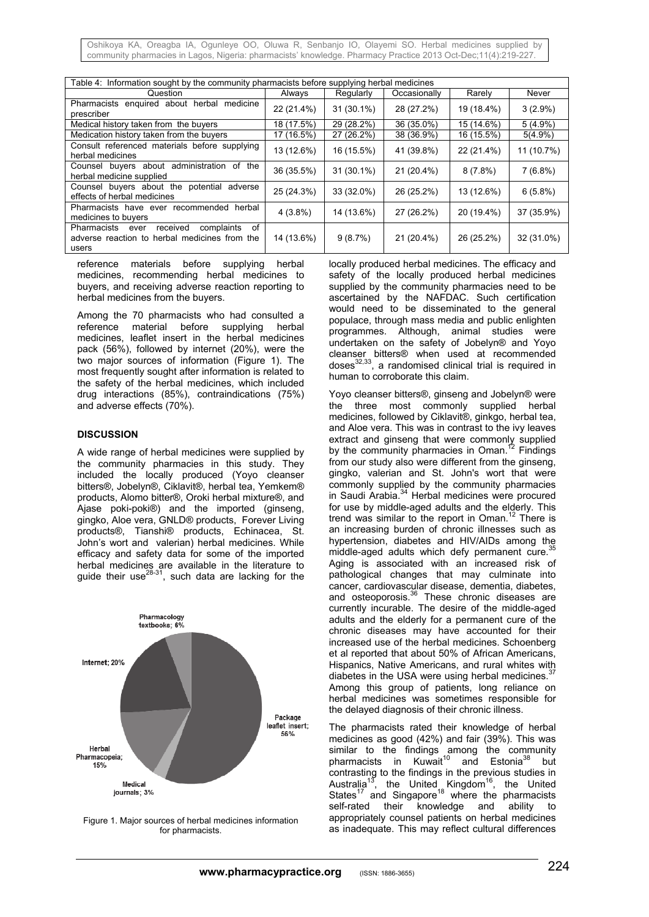Oshikoya KA, Oreagba IA, Ogunleye OO, Oluwa R, Senbanjo IO, Olayemi SO. Herbal medicines supplied by community pharmacies in Lagos, Nigeria: pharmacists' knowledge. Pharmacy Practice 2013 Oct-Dec;11(4):219-227.

| Table 4: Information sought by the community pharmacists before supplying herbal medicines                 |            |              |              |            |            |
|------------------------------------------------------------------------------------------------------------|------------|--------------|--------------|------------|------------|
| Question                                                                                                   | Always     | Regularly    | Occasionally | Rarely     | Never      |
| Pharmacists enquired about herbal medicine<br>prescriber                                                   | 22 (21.4%) | $31(30.1\%)$ | 28 (27.2%)   | 19 (18.4%) | $3(2.9\%)$ |
| Medical history taken from the buyers                                                                      | 18 (17.5%) | 29 (28.2%)   | 36 (35.0%)   | 15 (14.6%) | $5(4.9\%)$ |
| Medication history taken from the buyers                                                                   | 17 (16.5%) | 27 (26.2%)   | 38 (36.9%)   | 16 (15.5%) | $5(4.9\%)$ |
| Consult referenced materials before supplying<br>herbal medicines                                          | 13 (12.6%) | 16 (15.5%)   | 41 (39.8%)   | 22 (21.4%) | 11 (10.7%) |
| Counsel buyers about administration<br>the<br>of<br>herbal medicine supplied                               | 36 (35.5%) | $31(30.1\%)$ | 21 (20.4%)   | $8(7.8\%)$ | 7(6.8%)    |
| Counsel buyers about the potential adverse<br>effects of herbal medicines                                  | 25 (24.3%) | 33 (32.0%)   | 26 (25.2%)   | 13 (12.6%) | 6(5.8%)    |
| Pharmacists have ever recommended herbal<br>medicines to buyers                                            | $4(3.8\%)$ | 14 (13.6%)   | 27 (26.2%)   | 20 (19.4%) | 37 (35.9%) |
| of<br>complaints<br>Pharmacists ever<br>received<br>adverse reaction to herbal medicines from the<br>users | 14 (13.6%) | 9(8.7%)      | 21 (20.4%)   | 26 (25.2%) | 32 (31.0%) |

reference materials before supplying herbal medicines, recommending herbal medicines to buyers, and receiving adverse reaction reporting to herbal medicines from the buyers.

Among the 70 pharmacists who had consulted a reference material before supplying herbal medicines, leaflet insert in the herbal medicines pack (56%), followed by internet (20%), were the two major sources of information (Figure 1). The most frequently sought after information is related to the safety of the herbal medicines, which included drug interactions (85%), contraindications (75%) and adverse effects (70%).

#### **DISCUSSION**

A wide range of herbal medicines were supplied by the community pharmacies in this study. They included the locally produced (Yoyo cleanser bitters®, Jobelyn®, Ciklavit®, herbal tea, Yemkem® products, Alomo bitter®, Oroki herbal mixture®, and Ajase poki-poki®) and the imported (ginseng, gingko, Aloe vera, GNLD® products, Forever Living products®, Tianshi® products, Echinacea, St. John's wort and valerian) herbal medicines. While efficacy and safety data for some of the imported herbal medicines are available in the literature to guide their use $^{28-31}$ , such data are lacking for the



Figure 1. Major sources of herbal medicines information for pharmacists.

locally produced herbal medicines. The efficacy and safety of the locally produced herbal medicines supplied by the community pharmacies need to be ascertained by the NAFDAC. Such certification would need to be disseminated to the general populace, through mass media and public enlighten programmes. Although, animal studies were undertaken on the safety of Jobelyn® and Yoyo cleanser bitters® when used at recommended doses $^{32,33}$ , a randomised clinical trial is required in human to corroborate this claim.

Yoyo cleanser bitters®, ginseng and Jobelyn® were the three most commonly supplied herbal medicines, followed by Ciklavit®, ginkgo, herbal tea, and Aloe vera. This was in contrast to the ivy leaves extract and ginseng that were commonly supplied by the community pharmacies in Oman.<sup>12</sup> Findings from our study also were different from the ginseng, gingko, valerian and St. John's wort that were commonly supplied by the community pharmacies in Saudi Arabia.<sup>34</sup> Herbal medicines were procured for use by middle-aged adults and the elderly. This trend was similar to the report in Oman.<sup>12</sup> There is an increasing burden of chronic illnesses such as hypertension, diabetes and HIV/AIDs among the middle-aged adults which defy permanent cure. Aging is associated with an increased risk of pathological changes that may culminate into cancer, cardiovascular disease, dementia, diabetes, and osteoporosis.<sup>36</sup> These chronic diseases are currently incurable. The desire of the middle-aged adults and the elderly for a permanent cure of the chronic diseases may have accounted for their increased use of the herbal medicines. Schoenberg et al reported that about 50% of African Americans, Hispanics, Native Americans, and rural whites with diabetes in the USA were using herbal medicines. $37$ Among this group of patients, long reliance on herbal medicines was sometimes responsible for the delayed diagnosis of their chronic illness.

The pharmacists rated their knowledge of herbal medicines as good (42%) and fair (39%). This was similar to the findings among the community pharmacists in Kuwait<sup>10</sup> and Estonia<sup>38</sup> but contrasting to the findings in the previous studies in Australia<sup>13</sup>, the United Kingdom<sup>16</sup>, the United States<sup>17</sup> and Singapore<sup>18</sup> where the pharmacists self-rated their knowledge and ability to appropriately counsel patients on herbal medicines as inadequate. This may reflect cultural differences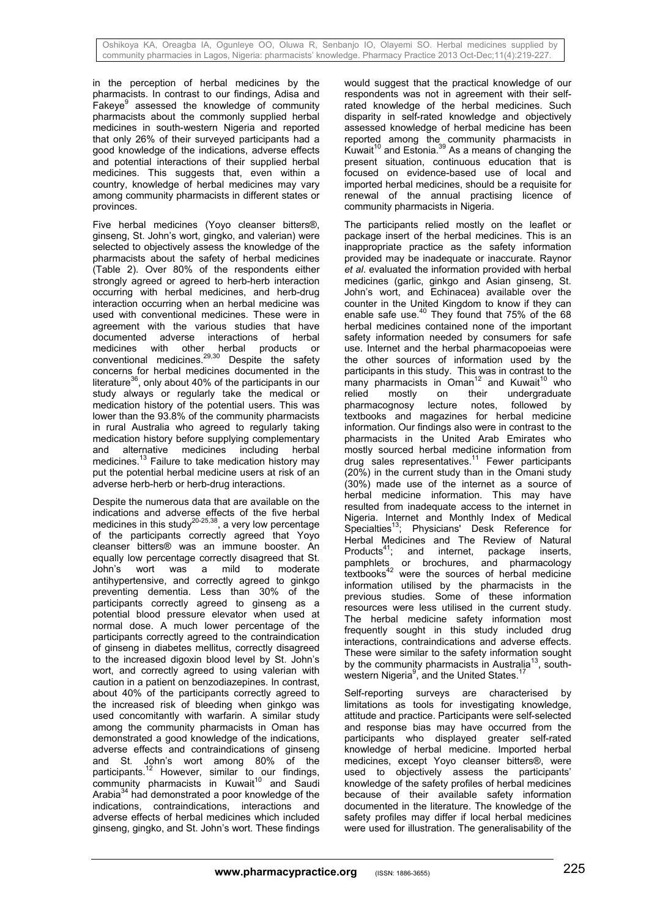in the perception of herbal medicines by the pharmacists. In contrast to our findings, Adisa and Fakeye<sup>9</sup> assessed the knowledge of community pharmacists about the commonly supplied herbal medicines in south-western Nigeria and reported that only 26% of their surveyed participants had a good knowledge of the indications, adverse effects and potential interactions of their supplied herbal medicines. This suggests that, even within a country, knowledge of herbal medicines may vary among community pharmacists in different states or provinces.

Five herbal medicines (Yoyo cleanser bitters®, ginseng, St. John's wort, gingko, and valerian) were selected to objectively assess the knowledge of the pharmacists about the safety of herbal medicines (Table 2). Over 80% of the respondents either strongly agreed or agreed to herb-herb interaction occurring with herbal medicines, and herb-drug interaction occurring when an herbal medicine was used with conventional medicines. These were in agreement with the various studies that have documented adverse interactions of herbal medicines with other herbal products or conventional medicines. $29,30$  Despite the safety concerns for herbal medicines documented in the literature<sup>36</sup>, only about 40% of the participants in our study always or regularly take the medical or medication history of the potential users. This was lower than the 93.8% of the community pharmacists in rural Australia who agreed to regularly taking medication history before supplying complementary and alternative medicines including herbal medicines.<sup>13</sup> Failure to take medication history may put the potential herbal medicine users at risk of an adverse herb-herb or herb-drug interactions.

Despite the numerous data that are available on the indications and adverse effects of the five herbal medicines in this study<sup>20-25,38</sup>, a very low percentage of the participants correctly agreed that Yoyo cleanser bitters® was an immune booster. An equally low percentage correctly disagreed that St. John's wort was a mild to moderate antihypertensive, and correctly agreed to ginkgo preventing dementia. Less than 30% of the participants correctly agreed to ginseng as a potential blood pressure elevator when used at normal dose. A much lower percentage of the participants correctly agreed to the contraindication of ginseng in diabetes mellitus, correctly disagreed to the increased digoxin blood level by St. John's wort, and correctly agreed to using valerian with caution in a patient on benzodiazepines. In contrast, about 40% of the participants correctly agreed to the increased risk of bleeding when ginkgo was used concomitantly with warfarin. A similar study among the community pharmacists in Oman has demonstrated a good knowledge of the indications, adverse effects and contraindications of ginseng and St. John's wort among 80% of the participants.<sup>12</sup> However, similar to our findings, community pharmacists in Kuwait<sup>10</sup> and Saudi Arabia<sup>34</sup> had demonstrated a poor knowledge of the indications, contraindications, interactions and adverse effects of herbal medicines which included ginseng, gingko, and St. John's wort. These findings

would suggest that the practical knowledge of our respondents was not in agreement with their selfrated knowledge of the herbal medicines. Such disparity in self-rated knowledge and objectively assessed knowledge of herbal medicine has been reported among the community pharmacists in Kuwait<sup>10</sup> and Estonia.<sup>39</sup> As a means of changing the present situation, continuous education that is focused on evidence-based use of local and imported herbal medicines, should be a requisite for renewal of the annual practising licence of community pharmacists in Nigeria.

The participants relied mostly on the leaflet or package insert of the herbal medicines. This is an inappropriate practice as the safety information provided may be inadequate or inaccurate. Raynor *et al*. evaluated the information provided with herbal medicines (garlic, ginkgo and Asian ginseng, St. John's wort, and Echinacea) available over the counter in the United Kingdom to know if they can enable safe use. $40$  They found that 75% of the 68 herbal medicines contained none of the important safety information needed by consumers for safe use. Internet and the herbal pharmacopoeias were the other sources of information used by the participants in this study. This was in contrast to the many pharmacists in Oman<sup>12</sup> and Kuwait<sup>10</sup> who relied mostly on their undergraduate<br>pharmacognosy lecture notes, followed by pharmacognosy lecture notes, followed by textbooks and magazines for herbal medicine information. Our findings also were in contrast to the pharmacists in the United Arab Emirates who mostly sourced herbal medicine information from drug sales representatives.<sup>11</sup> Fewer participants (20%) in the current study than in the Omani study (30%) made use of the internet as a source of herbal medicine information. This may have resulted from inadequate access to the internet in Nigeria. Internet and Monthly Index of Medical Specialties<sup>13</sup>; Physicians' Desk Reference for Herbal Medicines and The Review of Natural<br>Products<sup>41</sup>; and internet, package inserts, and internet, package inserts, pamphlets or brochures, and pharmacology textbooks<sup>42</sup> were the sources of herbal medicine information utilised by the pharmacists in the previous studies. Some of these information resources were less utilised in the current study. The herbal medicine safety information most frequently sought in this study included drug interactions, contraindications and adverse effects. These were similar to the safety information sought by the community pharmacists in Australia<sup>13</sup>, southwestern Nigeria<sup>9</sup>, and the United States.<sup>17</sup>

Self-reporting surveys are characterised by limitations as tools for investigating knowledge, attitude and practice. Participants were self-selected and response bias may have occurred from the participants who displayed greater self-rated knowledge of herbal medicine. Imported herbal medicines, except Yoyo cleanser bitters®, were used to objectively assess the participants' knowledge of the safety profiles of herbal medicines because of their available safety information documented in the literature. The knowledge of the safety profiles may differ if local herbal medicines were used for illustration. The generalisability of the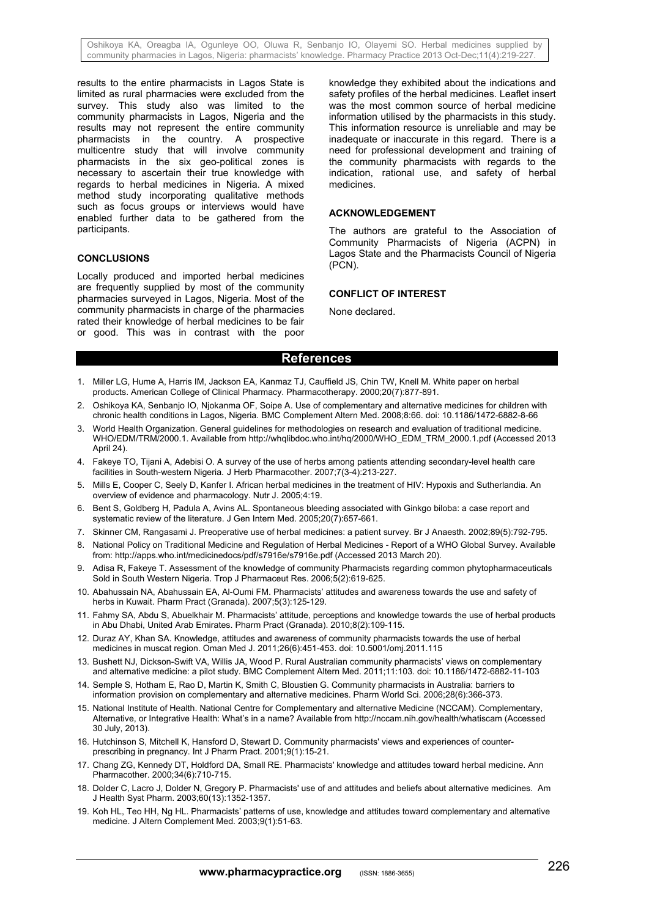Oshikoya KA, Oreagba IA, Ogunleye OO, Oluwa R, Senbanjo IO, Olayemi SO. Herbal medicines supplied by community pharmacies in Lagos, Nigeria: pharmacists' knowledge. Pharmacy Practice 2013 Oct-Dec;11(4):219-227.

results to the entire pharmacists in Lagos State is limited as rural pharmacies were excluded from the survey. This study also was limited to the community pharmacists in Lagos, Nigeria and the results may not represent the entire community pharmacists in the country. A prospective multicentre study that will involve community pharmacists in the six geo-political zones is necessary to ascertain their true knowledge with regards to herbal medicines in Nigeria. A mixed method study incorporating qualitative methods such as focus groups or interviews would have enabled further data to be gathered from the participants.

#### **CONCLUSIONS**

Locally produced and imported herbal medicines are frequently supplied by most of the community pharmacies surveyed in Lagos, Nigeria. Most of the community pharmacists in charge of the pharmacies rated their knowledge of herbal medicines to be fair or good. This was in contrast with the poor

knowledge they exhibited about the indications and safety profiles of the herbal medicines. Leaflet insert was the most common source of herbal medicine information utilised by the pharmacists in this study. This information resource is unreliable and may be inadequate or inaccurate in this regard. There is a need for professional development and training of the community pharmacists with regards to the indication, rational use, and safety of herbal medicines.

#### **ACKNOWLEDGEMENT**

The authors are grateful to the Association of Community Pharmacists of Nigeria (ACPN) in Lagos State and the Pharmacists Council of Nigeria (PCN).

#### **CONFLICT OF INTEREST**

None declared.

# **References**

- 1. Miller LG, Hume A, Harris IM, Jackson EA, Kanmaz TJ, Cauffield JS, Chin TW, Knell M. White paper on herbal products. American College of Clinical Pharmacy. Pharmacotherapy. 2000;20(7):877-891.
- 2. Oshikoya KA, Senbanjo IO, Njokanma OF, Soipe A. Use of complementary and alternative medicines for children with chronic health conditions in Lagos, Nigeria. BMC Complement Altern Med. 2008;8:66. doi: 10.1186/1472-6882-8-66
- 3. World Health Organization. General guidelines for methodologies on research and evaluation of traditional medicine. WHO/EDM/TRM/2000.1. Available from http://whqlibdoc.who.int/hq/2000/WHO\_EDM\_TRM\_2000.1.pdf (Accessed 2013 April 24).
- 4. Fakeye TO, Tijani A, Adebisi O. A survey of the use of herbs among patients attending secondary-level health care facilities in South-western Nigeria. J Herb Pharmacother. 2007;7(3-4):213-227.
- 5. Mills E, Cooper C, Seely D, Kanfer I. African herbal medicines in the treatment of HIV: Hypoxis and Sutherlandia. An overview of evidence and pharmacology. Nutr J. 2005;4:19.
- 6. Bent S, Goldberg H, Padula A, Avins AL. Spontaneous bleeding associated with Ginkgo biloba: a case report and systematic review of the literature. J Gen Intern Med. 2005;20(7):657-661.
- 7. Skinner CM, Rangasami J. Preoperative use of herbal medicines: a patient survey. Br J Anaesth. 2002;89(5):792-795.
- 8. National Policy on Traditional Medicine and Regulation of Herbal Medicines Report of a WHO Global Survey. Available from: http://apps.who.int/medicinedocs/pdf/s7916e/s7916e.pdf (Accessed 2013 March 20).
- 9. Adisa R, Fakeye T. Assessment of the knowledge of community Pharmacists regarding common phytopharmaceuticals Sold in South Western Nigeria. Trop J Pharmaceut Res. 2006;5(2):619-625.
- 10. Abahussain NA, Abahussain EA, Al-Oumi FM. Pharmacists' attitudes and awareness towards the use and safety of herbs in Kuwait. Pharm Pract (Granada). 2007;5(3):125-129.
- 11. Fahmy SA, Abdu S, Abuelkhair M. Pharmacists' attitude, perceptions and knowledge towards the use of herbal products in Abu Dhabi, United Arab Emirates. Pharm Pract (Granada). 2010;8(2):109-115.
- 12. Duraz AY, Khan SA. Knowledge, attitudes and awareness of community pharmacists towards the use of herbal medicines in muscat region. Oman Med J. 2011;26(6):451-453. doi: 10.5001/omj.2011.115
- 13. Bushett NJ, Dickson-Swift VA, Willis JA, Wood P. Rural Australian community pharmacists' views on complementary and alternative medicine: a pilot study. BMC Complement Altern Med. 2011;11:103. doi: 10.1186/1472-6882-11-103
- 14. Semple S, Hotham E, Rao D, Martin K, Smith C, Bloustien G. Community pharmacists in Australia: barriers to information provision on complementary and alternative medicines. Pharm World Sci. 2006;28(6):366-373.
- 15. National Institute of Health. National Centre for Complementary and alternative Medicine (NCCAM). Complementary, Alternative, or Integrative Health: What's in a name? Available from http://nccam.nih.gov/health/whatiscam (Accessed 30 July, 2013).
- 16. Hutchinson S, Mitchell K, Hansford D, Stewart D. Community pharmacists' views and experiences of counterprescribing in pregnancy. Int J Pharm Pract. 2001;9(1):15-21.
- 17. Chang ZG, Kennedy DT, Holdford DA, Small RE. Pharmacists' knowledge and attitudes toward herbal medicine. Ann Pharmacother. 2000;34(6):710-715.
- 18. Dolder C, Lacro J, Dolder N, Gregory P. Pharmacists' use of and attitudes and beliefs about alternative medicines. Am J Health Syst Pharm. 2003;60(13):1352-1357.
- 19. Koh HL, Teo HH, Ng HL. Pharmacists' patterns of use, knowledge and attitudes toward complementary and alternative medicine. J Altern Complement Med. 2003;9(1):51-63.